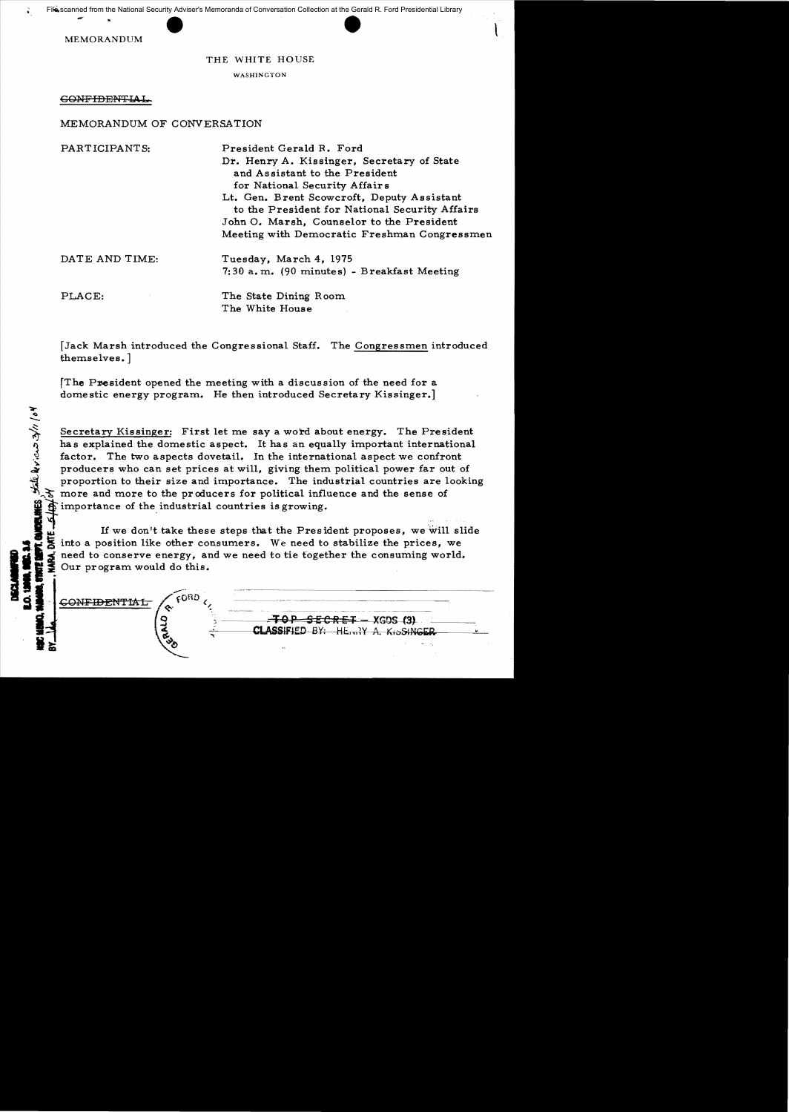MEMORANDUM

## THE WHITE HOUSE

l

WASHINGTON

 $\epsilon$ ONFIDENTIA

~

MEMORANDUM OF CONVERSATION

| PARTICIPANTS:  | President Gerald R. Ford<br>Dr. Henry A. Kissinger, Secretary of State<br>and Assistant to the President<br>for National Security Affairs<br>Lt. Gen. Brent Scowcroft, Deputy Assistant<br>to the President for National Security Affairs<br>John O. Marsh, Counselor to the President<br>Meeting with Democratic Freshman Congressmen |
|----------------|----------------------------------------------------------------------------------------------------------------------------------------------------------------------------------------------------------------------------------------------------------------------------------------------------------------------------------------|
| DATE AND TIME: | Tuesday, March 4, 1975<br>7:30 a.m. (90 minutes) - Breakfast Meeting                                                                                                                                                                                                                                                                   |
| PLACE:         | The State Dining Room<br>The White House                                                                                                                                                                                                                                                                                               |

[Jack Marsh introduced the Congressional Staff. The Congressmen introduced themselves. ]

[The President opened the meeting with a discussion of the need for a domestic energy program. He then introduced Secretary Kissinger.]

Secretary Kissinger: First let me say a word about energy. The President<br>has explained the domestic aspect. It has an equally important international<br>factor. The two aspects dovetail. In the international aspect we confro has explained the domestic aspect. It has an equally important international factor. The two aspects dovetail. In the international aspect we confront producers who can set prices at will, giving them political power far out of proportion to their size and importance. The industrial countries are looking more and more to the producers for political influence and the sense of importance of the industrial countries is growing.

If we don't take these steps that the President proposes, we will slide into a position like other consumers. We need to stabilize the prices, we need to conserve energy, and we need to tie together the consuming world. •i i Our program would do this. I**'I** S - CONFIDEN'fIAL 4 -- {.OIlO {~ -~-.~..~-- -- (( }.. \_m ~o P S EC·Ri~·· XG!)S-f3).·

....-~~. :: ~,.--~CI""'LASSIFI.ED BY:-Hhrn1Y A.KioStN"~ I

 $\overline{\phantom{a}}$ 

**CLASSIFIED BY: HE...?Y A. KISSINGER**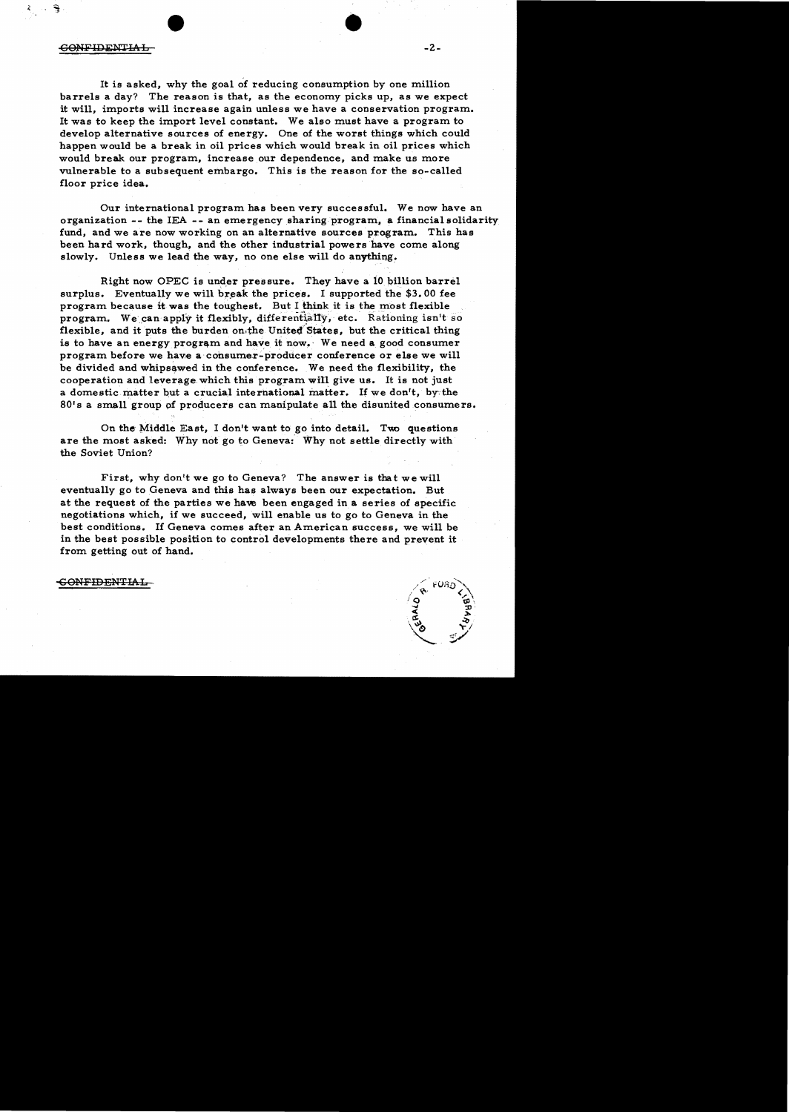$\sim$  -2. Software  $\sim$  -2.

ş

It is asked, why the goal of reducing consumption by one million barrels a day? The reason is that, as the economy picks up, as we expect it will, imports will increase again unless we have a conservation program. It was to keep the import level constant. We also must have a program to develop alternative sources of energy. One of the worst things which could happen would be a break in oil prices which would break in oil prices which would break our program, increase our dependence, and make us more vulnerable to a subsequent embargo. This is the reason for the so-called floor price idea.

Our international program has been very successful. We now have an organization -- the lEA -- an emergency sharing program. a financial solidarity fund, and we are now working on an alternative sources program. This has been hard work, though, and the other industrial powers have come along slowly. Unless we lead the way, no one else will do anything.

Right now OPEC is under pressure. They have a 10 billion barrel surplus. Eventually we will break the prices. I supported the  $$3.00$  fee program because it was the toughest. But I think it is the most flexible program. We can apply it flexibly, differentially, etc. Rationing isn't so flexible, and it puts the burden on.the United States, but the critical thing is to have an energy program and have it now. We need a good consumer program before we have a' consumer-producer conference or else we will be divided and whipsawed in the conference. We need the flexibility, the cooperation and leverage which this program will give us. It is not just a domestic matter but a crucial international matter. If we don't, by the 80's a small group of producers can manipulate all the disunited consumers.

On the Middle East, I don't want to go into detail. Two questions are the most asked: Why not go to Geneva: Why not settle directly with the Soviet Union?

First, why don't we go to Geneva? The answer is that we will eventually go to Geneva and this has always been our expectation. But at the request of the parties we haw been engaged in a series of specific negotiations which, if we succeed, will enable us to go to Geneva in the best conditions. If Geneva comes after an American success, we will be in the best possible position to control developments there and prevent it from getting out of hand.

-£ONFIDENTIAL

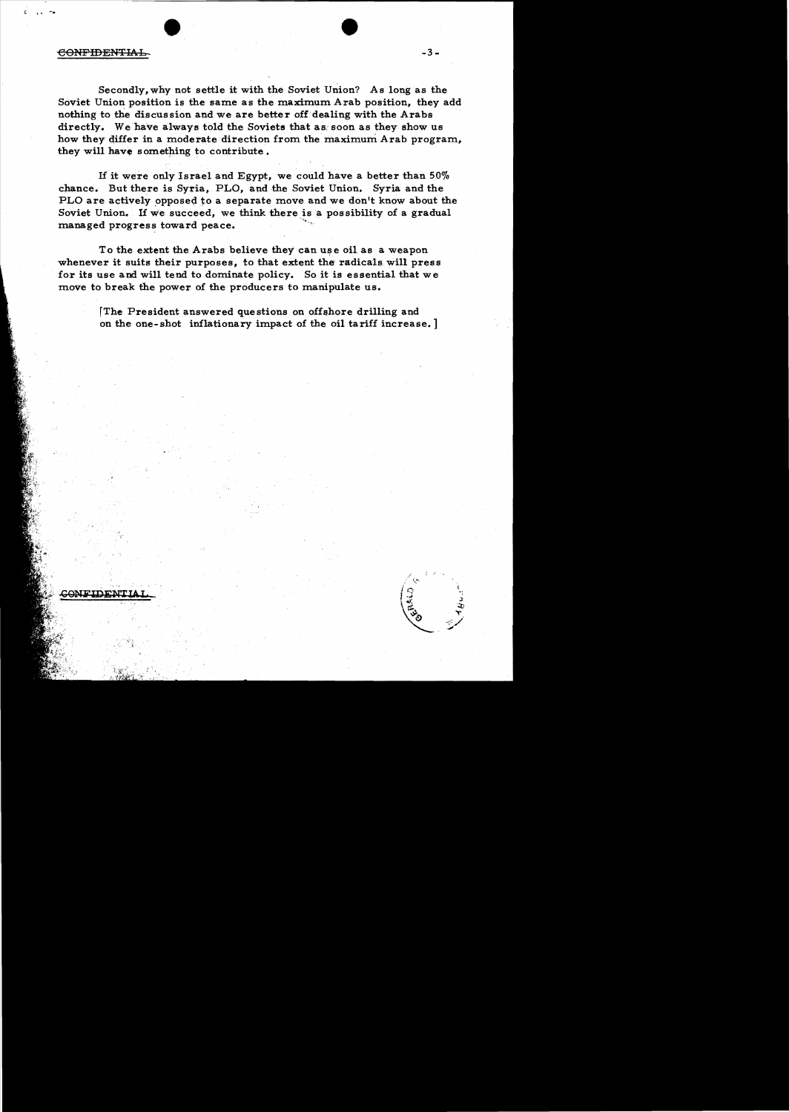## CONFIDENTIAL

Secondly, why not settle it with the Soviet Union? As long as the Soviet Union position is the same as the maximum Arab position, they add nothing to the discussion and we are better off dealing with the Arabs directly. We have always told the Soviets that as soon as they show us how they differ in a moderate direction from the maximum Arab program, they will have something to contribute.

If it were only Israel and Egypt, we could have a better than  $50\%$ chance. But there is Syria. PLO. and the Soviet Union. Syria and the PLO are actively opposed to a separate move and we don't know about the Soviet Union. If we succeed, we think there is a possibility of a gradual managed progress toward peace.

To the extent the Arabs believe they can use oil as a weapon whenever it suits their purposes, to that extent the radicals will press for its use and will tend to dominate policy. So it is essential that we move to break the power of the producers to manipulate us.

> [The President answered questions on offshore drilling and on the one-shot inflationary impact of the oil tariff increase.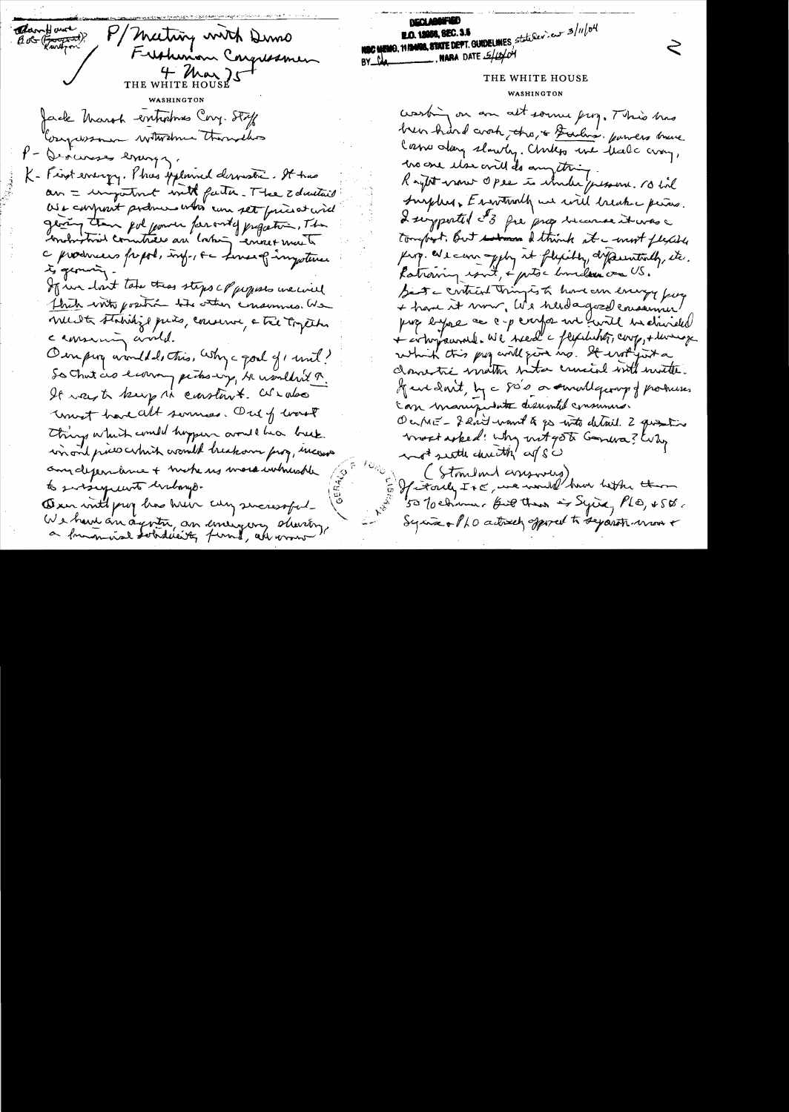Clair However M/ Mating with Dimo Frishmon Congressmen THE WHITE HOUSE Jack March emposines Cong. Staff Congressmen witwelmen thorselves V - Deocurses errings. K- First erreigy. This upland deroustic. It has an = important with factor. The Education We confront podmers whis can set friend will georing than pol journ for onty projection, The a producers frapped, info, se serves of importance to geomora If we lost take this steps of populs we will thick with position the other consumer. We must stabilize puis, comme a tre together camming and. Our ping avondded, this, why a goal of mil? So Chut as larry picks-up, He wouldn't R. It was to keep in constant. We also unet have alt sonnes. Out of worst Things which could hopper avout has beek. win and price which would breakon frog, measure any dependence + niche us more inhushle to sursequent unbouge. Own with prof has have cuy successful. We have an agosta an emergency decreting

**DECT W** NOC MEMO, 1913400, STATE DEPT. GUIDELINES, statutev.eur 3/11/04 BY  $\frac{1}{4}$ . NARA DATE  $\frac{5}{4}$ THE WHITE HOUSE washing on an alt some prog. This has been hard croch, the is Furling. parvers brave Casso day slowly. Chiles we that cray, has one than ovill do anything Raytot women Opee is wonder pessone. No til Surplus. Environch we will breake pieces. Legportel 3 fre prop because it was a tomport. But solomon & think at a most flexible fing. We can apply it flyity dyperentially, ite. Patiening count, & putoc hundred on US. Sent a contract tringes to hove an energy fun puis empre ce c-p conforme un funit en divided + comparant all need a flychist, coop, + lung which this pay and fire no. It withget a clamentie matter nita crucial with mother. If we don't, by a said or small george of produces. can manipulate disumbil communes Ourré-férit want à po with detail. 2 questions trook asked : why nit got Gardra? Why and settle christ of s's (Standard assessing) If it only It a we would be hether them 50 Tochima, full then is sying PLO, &SO, Syria + PLO actively opposed to separati mon +